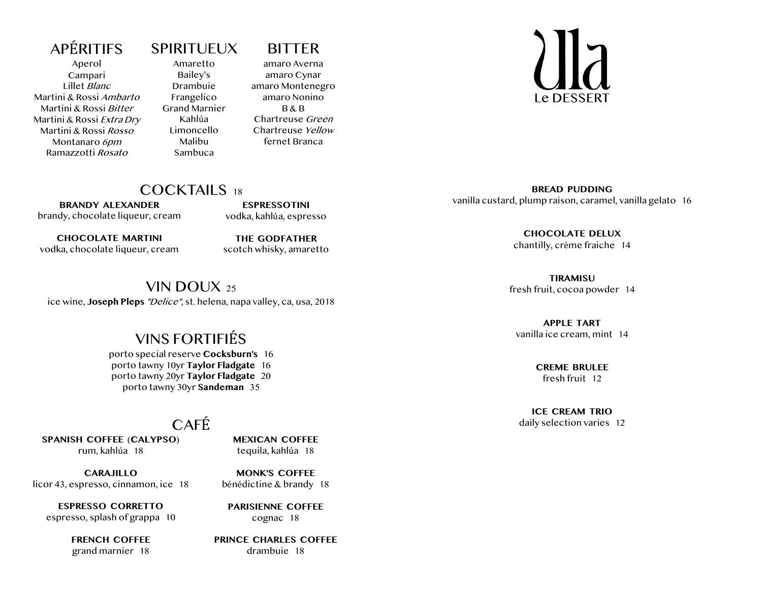#### **APÉRITIFS**

Aperol Campari Lillet Blanc Martini & Rossi Ambarto Martini & Rossi Bitter Martini & Rossi Extra Dry Martini & Rossi Rosso Montanaro 6pm Ramazzotti Rosato

# **SPIRITUEUX**

Amaretto Bailey's Drambuie Frangelico Grand Marnier Kahlúa Limoncello Malibu Sambuca

#### BITTER amaro Averna

amaro Cynar amaro Montenegro amaro Nonino  $R$  $R$  $R$ Chartreuse Green Chartreuse Yellow fernet Branca

Le DESSERT

#### COCKTAILS 18

**BRANDY ALEXANDER** brandy, chocolate liqueur, cream

**CHOCOLATE MARTINI** vodka, chocolate liqueur, cream

**THE GODFATHER** scotch whisky, amaretto

**ESPRESSOTINI** vodka, kahlúa, espresso

#### VIN DOUX  $25$

ice wine, **Joseph Pleps** "Delice", st. helena, napa valley, ca, usa, 2018

# **VINS FORTIFIÉS**

porto special reserve **Cocksburn's** 16 porto tawny 10yr **Taylor Fladgate** 16 porto tawny 20yr **Taylor Fladgate** 20 porto tawny 30yr **Sandeman** 35

#### CAFÉ<sup>.</sup>

**SPANISH COFFEE** (**CALYPSO**) rum, kahlúa 18

**CARAJILLO** licor 43, espresso, cinnamon, ice 18

**ESPRESSO CORRETTO** espresso, splash of grappa 10

> **FRENCH COFFEE** grand marnier 18

**MEXICAN COFFEE** tequila, kahlúa 18

**MONK'S COFFEE** bénédictine & brandy 18

**PARISIENNE COFFEE** cognac 18

**PRINCE CHARLES COFFEE** drambuie 18

**BREAD PUDDING** vanilla custard, plump raison, caramel, vanilla gelato 16

> **CHOCOLATE DELUX** chantilly, crème fraiche 14

**TIRAMISU** fresh fruit, cocoa powder 14

**APPLE TART** vanilla ice cream, mint 14

> **CREME BRULEE** fresh fruit 12

**ICE CREAM TRIO** daily selection varies 12